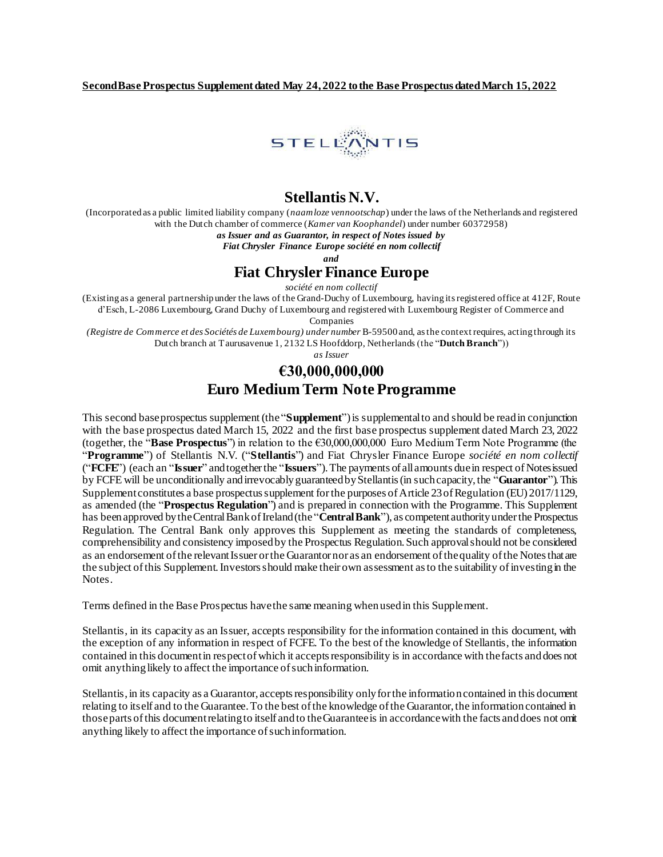

# **Stellantis N.V.**

(Incorporated as a public limited liability company (*naamloze vennootschap*) under the laws of the Netherlands and registered with the Dutch chamber of commerce (*Kamer van Koophandel*) under number 60372958)

*as Issuer and as Guarantor, in respect of Notes issued by* 

*Fiat Chrysler Finance Europe société en nom collectif* 

*and*

## **Fiat Chrysler Finance Europe**

*société en nom collectif* 

(Existing as a general partnership under the laws of the Grand-Duchy of Luxembourg, having its registered office at 412F, Route d'Esch, L-2086 Luxembourg, Grand Duchy of Luxembourg and registered with Luxembourg Register of Commerce and

Companies

*(Registre de Commerce et des Sociétés de Luxembourg) under number* B-59500 and, as the context requires, acting through its Dutch branch at Taurusavenue 1, 2132 LS Hoofddorp, Netherlands (the "**Dutch Branch**"))

*as Issuer*

# **€30,000,000,000 Euro Medium Term Note Programme**

This second base prospectus supplement (the "**Supplement**") is supplemental to and should be read in conjunction with the base prospectus dated March 15, 2022 and the first base prospectus supplement dated March 23, 2022 (together, the "**Base Prospectus**") in relation to the €30,000,000,000 Euro Medium Term Note Programme (the "**Programme**") of Stellantis N.V. ("**Stellantis**") and Fiat Chrysler Finance Europe *société en nom collectif*  ("**FCFE**") (each an "**Issuer**" and together the "**Issuers**"). The payments of all amounts due in respect of Notes issued by FCFE will be unconditionally and irrevocably guaranteed by Stellantis (in such capacity, the "**Guarantor**"). This Supplement constitutes a base prospectus supplement for the purposes of Article 23 of Regulation (EU) 2017/1129, as amended (the "**Prospectus Regulation**") and is prepared in connection with the Programme. This Supplement has been approved by the Central Bank of Ireland (the "**Central Bank**"), as competent authority under the Prospectus Regulation. The Central Bank only approves this Supplement as meeting the standards of completeness, comprehensibility and consistency imposed by the Prospectus Regulation. Such approval should not be considered as an endorsement of the relevant Issuer or the Guarantor nor as an endorsement of the quality of the Notes that are the subject of this Supplement. Investors should make their own assessment as to the suitability of investing in the Notes.

Terms defined in the Base Prospectus have the same meaning when used in this Supplement.

Stellantis, in its capacity as an Issuer, accepts responsibility for the information contained in this document, with the exception of any information in respect of FCFE. To the best of the knowledge of Stellantis, the information contained in this document in respect of which it accepts responsibility is in accordance with the facts and does not omit anything likely to affect the importance of such information.

Stellantis, in its capacity as a Guarantor, accepts responsibility only for the information contained in this document relating to itself and to the Guarantee. To the best of the knowledge of the Guarantor, the information contained in those parts of this document relating to itself and to the Guarantee is in accordance with the facts and does not omit anything likely to affect the importance of such information.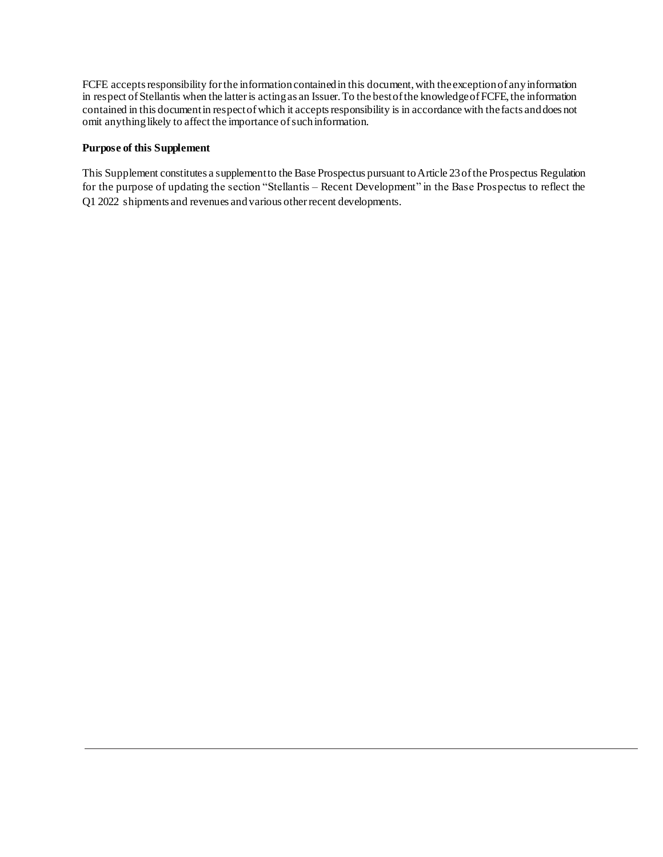FCFE accepts responsibility for the information contained in this document, with the exception of any information in respect of Stellantis when the latter is acting as an Issuer. To the best of the knowledge of FCFE, the information contained in this document in respect of which it accepts responsibility is in accordance with the facts and does not omit anything likely to affect the importance of such information.

### **Purpose of this Supplement**

This Supplement constitutes a supplement to the Base Prospectus pursuant to Article 23 of the Prospectus Regulation for the purpose of updating the section "Stellantis – Recent Development" in the Base Prospectus to reflect the Q1 2022 shipments and revenues and various other recent developments.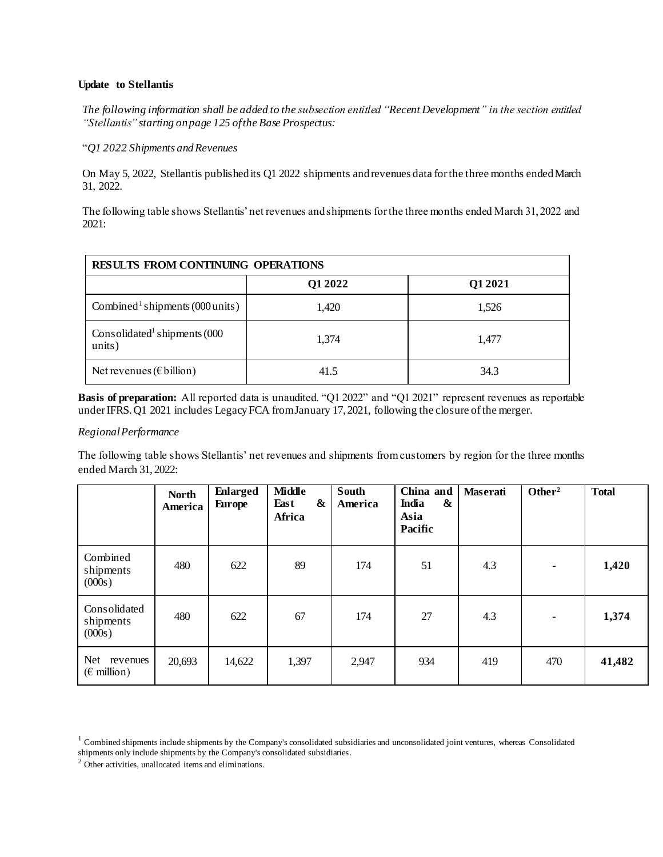### **Update to Stellantis**

*The following information shall be added to the subsection entitled "Recent Development" in the section entitled "Stellantis" starting on page 125 of the Base Prospectus:*

#### "*Q1 2022 Shipments andRevenues*

On May 5, 2022, Stellantis published its Q1 2022 shipments and revenues data for the three months ended March 31, 2022.

The following table shows Stellantis' net revenues and shipments for the three months ended March 31, 2022 and 2021:

<span id="page-2-0"></span>

| RESULTS FROM CONTINUING OPERATIONS                 |         |         |  |  |  |  |  |
|----------------------------------------------------|---------|---------|--|--|--|--|--|
|                                                    | Q1 2022 | Q1 2021 |  |  |  |  |  |
| Combined <sup>1</sup> shipments (000 units)        | 1,420   | 1,526   |  |  |  |  |  |
| Consolidated <sup>1</sup> shipments (000<br>units) | 1,374   | 1,477   |  |  |  |  |  |
| Net revenues ( $\epsilon$ billion)                 | 41.5    | 34.3    |  |  |  |  |  |

**Basis of preparation:** All reported data is unaudited. "Q1 2022" and "Q1 2021" represent revenues as reportable under IFRS. Q1 2021 includes Legacy FCA from January 17, 2021, following the closure of the merger.

### *Regional Performance*

The following table shows Stellantis' net revenues and shipments from customers by region for the three months ended March 31, 2022:

|                                              | <b>North</b><br>America | <b>Enlarged</b><br><b>Europe</b> | <b>Middle</b><br>&<br>East<br>Africa | South<br>America | China and<br>India<br>&<br>Asia<br>Pacific | <b>Maserati</b> | Other <sup>2</sup>       | <b>Total</b> |
|----------------------------------------------|-------------------------|----------------------------------|--------------------------------------|------------------|--------------------------------------------|-----------------|--------------------------|--------------|
| Combined<br>shipments<br>(000s)              | 480                     | 622                              | 89                                   | 174              | 51                                         | 4.3             | $\overline{\phantom{a}}$ | 1,420        |
| Consolidated<br>shipments<br>(000s)          | 480                     | 622                              | 67                                   | 174              | 27                                         | 4.3             | $\overline{\phantom{a}}$ | 1,374        |
| Net revenues<br>$(\epsilon \text{ million})$ | 20,693                  | 14,622                           | 1,397                                | 2,947            | 934                                        | 419             | 470                      | 41,482       |

 $1$  Combined shipments include shipments by the Company's consolidated subsidiaries and unconsolidated joint ventures, whereas Consolidated shipments only include shipments by the Company's consolidated subsidiaries.

<sup>2</sup> Other activities, unallocated items and eliminations.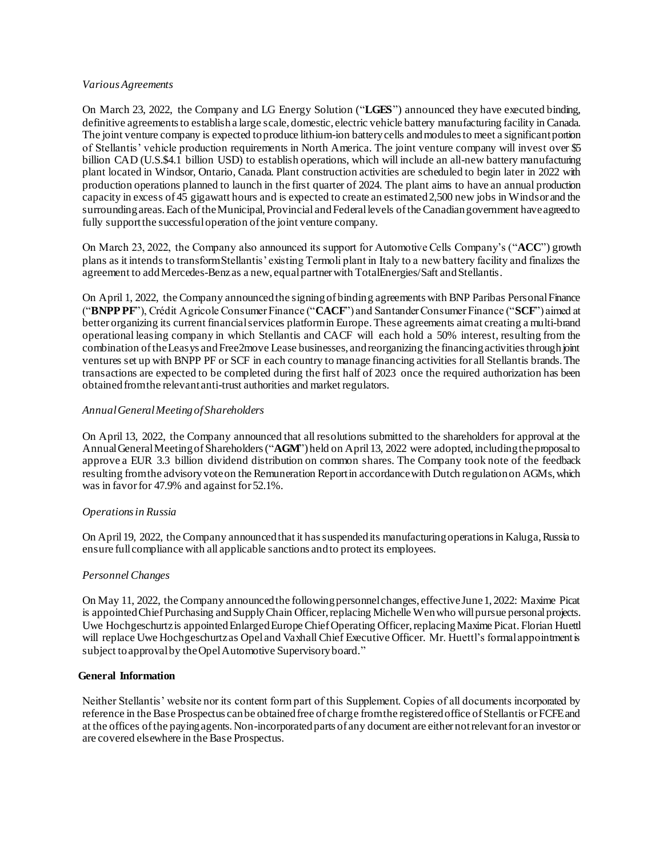#### *Various Agreements*

On March 23, 2022, the Company and LG Energy Solution ("**LGES**") announced they have executed binding, definitive agreements to establish a large scale, domestic, electric vehicle battery manufacturing facility in Canada. The joint venture company is expected to produce lithium-ion battery cells and modules to meet a significant portion of Stellantis' vehicle production requirements in North America. The joint venture company will invest over \$5 billion CAD (U.S.\$4.1 billion USD) to establish operations, which will include an all-new battery manufacturing plant located in Windsor, Ontario, Canada. Plant construction activities are scheduled to begin later in 2022 with production operations planned to launch in the first quarter of 2024. The plant aims to have an annual production capacity in excess of 45 gigawatt hours and is expected to create an estimated 2,500 new jobs in Windsor and the surrounding areas. Each of the Municipal, Provincial and Federal levels of the Canadian government have agreed to fully support the successful operation of the joint venture company.

On March 23, 2022, the Company also announced its support for Automotive Cells Company's ("**ACC**") growth plans as it intends to transform Stellantis' existing Termoli plant in Italy to a new battery facility and finalizes the agreement to add Mercedes-Benz as a new, equal partner with TotalEnergies/Saft and Stellantis.

On April 1, 2022, the Company announced the signing of binding agreements with BNP Paribas Personal Finance ("**BNPP PF**"), Crédit Agricole Consumer Finance ("**CACF**") and Santander Consumer Finance ("**SCF**") aimed at better organizing its current financial services platform in Europe. These agreements aim at creating a multi-brand operational leasing company in which Stellantis and CACF will each hold a 50% interest, resulting from the combination of the Leasys and Free2move Lease businesses, and reorganizing the financing activities through joint ventures set up with BNPP PF or SCF in each country to manage financing activities for all Stellantis brands. The transactions are expected to be completed during the first half of 2023 once the required authorization has been obtained from the relevant anti-trust authorities and market regulators.

### *Annual General Meeting of Shareholders*

On April 13, 2022, the Company announced that all resolutions submitted to the shareholders for approval at the Annual General Meeting of Shareholders ("**AGM**") held on April 13, 2022 were adopted, including the proposal to approve a EUR 3.3 billion dividend distribution on common shares. The Company took note of the feedback resulting from the advisory vote on the Remuneration Report in accordance with Dutch regulation on AGMs, which was in favor for 47.9% and against for 52.1%.

### *Operations in Russia*

On April 19, 2022, the Company announced that it has suspended its manufacturing operations in Kaluga, Russia to ensure full compliance with all applicable sanctions and to protect its employees.

### *Personnel Changes*

On May 11, 2022, the Company announced the following personnel changes, effective June 1, 2022: Maxime Picat is appointed Chief Purchasing and Supply Chain Officer, replacing Michelle Wen who will pursue personal projects. Uwe Hochgeschurtz is appointed Enlarged Europe Chief Operating Officer, replacing Maxime Picat. Florian Huettl will replace Uwe Hochgeschurtz as Opel and Vaxhall Chief Executive Officer. Mr. Huettl's formal appointment is subject to approval by the Opel Automotive Supervisory board."

### **General Information**

Neither Stellantis' website nor its content form part of this Supplement. Copies of all documents incorporated by reference in the Base Prospectus can be obtained free of charge from the registered office of Stellantis or FCFE and at the offices of the paying agents. Non-incorporated parts of any document are either not relevant for an investor or are covered elsewhere in the Base Prospectus.